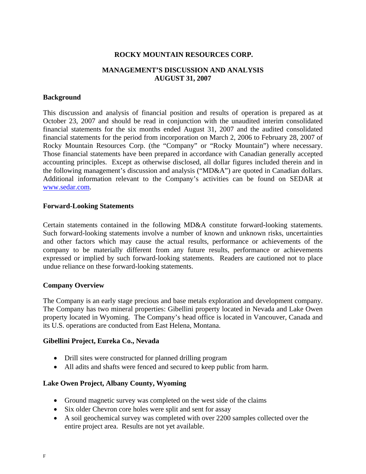## **ROCKY MOUNTAIN RESOURCES CORP.**

# **MANAGEMENT'S DISCUSSION AND ANALYSIS AUGUST 31, 2007**

## **Background**

This discussion and analysis of financial position and results of operation is prepared as at October 23, 2007 and should be read in conjunction with the unaudited interim consolidated financial statements for the six months ended August 31, 2007 and the audited consolidated financial statements for the period from incorporation on March 2, 2006 to February 28, 2007 of Rocky Mountain Resources Corp. (the "Company" or "Rocky Mountain") where necessary. Those financial statements have been prepared in accordance with Canadian generally accepted accounting principles. Except as otherwise disclosed, all dollar figures included therein and in the following management's discussion and analysis ("MD&A") are quoted in Canadian dollars. Additional information relevant to the Company's activities can be found on SEDAR at www.sedar.com.

## **Forward-Looking Statements**

Certain statements contained in the following MD&A constitute forward-looking statements. Such forward-looking statements involve a number of known and unknown risks, uncertainties and other factors which may cause the actual results, performance or achievements of the company to be materially different from any future results, performance or achievements expressed or implied by such forward-looking statements. Readers are cautioned not to place undue reliance on these forward-looking statements.

## **Company Overview**

The Company is an early stage precious and base metals exploration and development company. The Company has two mineral properties: Gibellini property located in Nevada and Lake Owen property located in Wyoming. The Company's head office is located in Vancouver, Canada and its U.S. operations are conducted from East Helena, Montana.

## **Gibellini Project, Eureka Co., Nevada**

- Drill sites were constructed for planned drilling program
- All adits and shafts were fenced and secured to keep public from harm.

## **Lake Owen Project, Albany County, Wyoming**

- Ground magnetic survey was completed on the west side of the claims
- Six older Chevron core holes were split and sent for assay
- A soil geochemical survey was completed with over 2200 samples collected over the entire project area. Results are not yet available.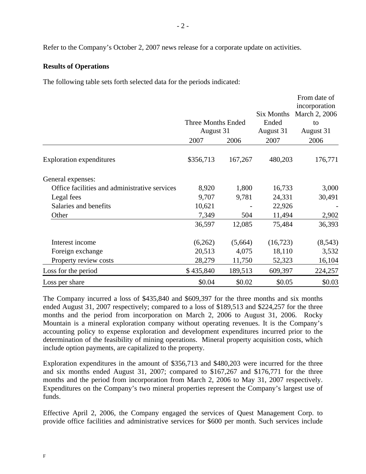Refer to the Company's October 2, 2007 news release for a corporate update on activities.

## **Results of Operations**

The following table sets forth selected data for the periods indicated:

|                                               |                                        |         |            | From date of                   |  |
|-----------------------------------------------|----------------------------------------|---------|------------|--------------------------------|--|
|                                               |                                        |         | Six Months | incorporation<br>March 2, 2006 |  |
|                                               | <b>Three Months Ended</b><br>August 31 |         | Ended      | to                             |  |
|                                               |                                        |         | August 31  | August 31                      |  |
|                                               | 2007                                   | 2006    | 2007       | 2006                           |  |
| <b>Exploration expenditures</b>               | \$356,713                              | 167,267 | 480,203    | 176,771                        |  |
| General expenses:                             |                                        |         |            |                                |  |
| Office facilities and administrative services | 8,920                                  | 1,800   | 16,733     | 3,000                          |  |
| Legal fees                                    | 9,707                                  | 9,781   | 24,331     | 30,491                         |  |
| Salaries and benefits                         | 10,621                                 |         | 22,926     |                                |  |
| Other                                         | 7,349                                  | 504     | 11,494     | 2,902                          |  |
|                                               | 36,597                                 | 12,085  | 75,484     | 36,393                         |  |
| Interest income                               | (6,262)                                | (5,664) | (16,723)   | (8, 543)                       |  |
| Foreign exchange                              | 20,513                                 | 4,075   | 18,110     | 3,532                          |  |
| Property review costs                         | 28,279                                 | 11,750  | 52,323     | 16,104                         |  |
| Loss for the period                           | \$435,840                              | 189,513 | 609,397    | 224,257                        |  |
| Loss per share                                | \$0.04                                 | \$0.02  | \$0.05     | \$0.03                         |  |

The Company incurred a loss of \$435,840 and \$609,397 for the three months and six months ended August 31, 2007 respectively; compared to a loss of \$189,513 and \$224,257 for the three months and the period from incorporation on March 2, 2006 to August 31, 2006. Rocky Mountain is a mineral exploration company without operating revenues. It is the Company's accounting policy to expense exploration and development expenditures incurred prior to the determination of the feasibility of mining operations. Mineral property acquisition costs, which include option payments, are capitalized to the property.

Exploration expenditures in the amount of \$356,713 and \$480,203 were incurred for the three and six months ended August 31, 2007; compared to \$167,267 and \$176,771 for the three months and the period from incorporation from March 2, 2006 to May 31, 2007 respectively. Expenditures on the Company's two mineral properties represent the Company's largest use of funds.

Effective April 2, 2006, the Company engaged the services of Quest Management Corp. to provide office facilities and administrative services for \$600 per month. Such services include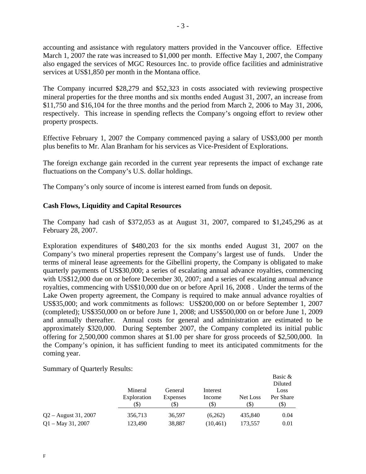accounting and assistance with regulatory matters provided in the Vancouver office. Effective March 1, 2007 the rate was increased to \$1,000 per month. Effective May 1, 2007, the Company also engaged the services of MGC Resources Inc. to provide office facilities and administrative services at US\$1,850 per month in the Montana office.

The Company incurred \$28,279 and \$52,323 in costs associated with reviewing prospective mineral properties for the three months and six months ended August 31, 2007, an increase from \$11,750 and \$16,104 for the three months and the period from March 2, 2006 to May 31, 2006, respectively. This increase in spending reflects the Company's ongoing effort to review other property prospects.

Effective February 1, 2007 the Company commenced paying a salary of US\$3,000 per month plus benefits to Mr. Alan Branham for his services as Vice-President of Explorations.

The foreign exchange gain recorded in the current year represents the impact of exchange rate fluctuations on the Company's U.S. dollar holdings.

The Company's only source of income is interest earned from funds on deposit.

# **Cash Flows, Liquidity and Capital Resources**

The Company had cash of \$372,053 as at August 31, 2007, compared to \$1,245,296 as at February 28, 2007.

Exploration expenditures of \$480,203 for the six months ended August 31, 2007 on the Company's two mineral properties represent the Company's largest use of funds. Under the terms of mineral lease agreements for the Gibellini property, the Company is obligated to make quarterly payments of US\$30,000; a series of escalating annual advance royalties, commencing with US\$12,000 due on or before December 30, 2007; and a series of escalating annual advance royalties, commencing with US\$10,000 due on or before April 16, 2008 . Under the terms of the Lake Owen property agreement, the Company is required to make annual advance royalties of US\$35,000; and work commitments as follows: US\$200,000 on or before September 1, 2007 (completed); US\$350,000 on or before June 1, 2008; and US\$500,000 on or before June 1, 2009 and annually thereafter. Annual costs for general and administration are estimated to be approximately \$320,000. During September 2007, the Company completed its initial public offering for 2,500,000 common shares at \$1.00 per share for gross proceeds of \$2,500,000. In the Company's opinion, it has sufficient funding to meet its anticipated commitments for the coming year.

Summary of Quarterly Results:

|                        |                                |                             |                            |                 | Basic &<br>Diluted        |
|------------------------|--------------------------------|-----------------------------|----------------------------|-----------------|---------------------------|
|                        | Mineral<br>Exploration<br>(\$) | General<br>Expenses<br>(\$) | Interest<br>Income<br>(\$) | Net Loss<br>(S) | Loss<br>Per Share<br>(\$) |
| $Q2 -$ August 31, 2007 | 356,713                        | 36.597                      | (6,262)                    | 435,840         | 0.04                      |
| $Q1 - May 31, 2007$    | 123,490                        | 38,887                      | (10, 461)                  | 173.557         | 0.01                      |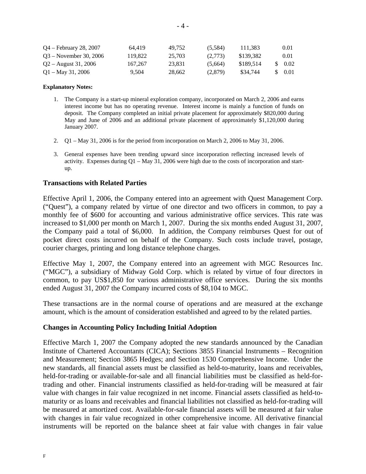| Q4 – February 28, 2007   | 64.419  | 49.752 | (5,584) | 111.383   | 0.01               |
|--------------------------|---------|--------|---------|-----------|--------------------|
| $O3 - November 30, 2006$ | 119.822 | 25.703 | (2.773) | \$139.382 | 0.01               |
| $Q2 -$ August 31, 2006   | 167,267 | 23.831 | (5.664) | \$189.514 | $\frac{1}{2}$ 0.02 |
| $Q1 - May 31, 2006$      | 9.504   | 28.662 | (2,879) | \$34,744  | 0.01               |

#### **Explanatory Notes:**

- 1. The Company is a start-up mineral exploration company, incorporated on March 2, 2006 and earns interest income but has no operating revenue. Interest income is mainly a function of funds on deposit. The Company completed an initial private placement for approximately \$820,000 during May and June of 2006 and an additional private placement of approximately \$1,120,000 during January 2007.
- 2. Q1 May 31, 2006 is for the period from incorporation on March 2, 2006 to May 31, 2006.
- 3. General expenses have been trending upward since incorporation reflecting increased levels of activity. Expenses during Q1 – May 31, 2006 were high due to the costs of incorporation and startup.

### **Transactions with Related Parties**

Effective April 1, 2006, the Company entered into an agreement with Quest Management Corp. ("Quest"), a company related by virtue of one director and two officers in common, to pay a monthly fee of \$600 for accounting and various administrative office services. This rate was increased to \$1,000 per month on March 1, 2007. During the six months ended August 31, 2007, the Company paid a total of \$6,000. In addition, the Company reimburses Quest for out of pocket direct costs incurred on behalf of the Company. Such costs include travel, postage, courier charges, printing and long distance telephone charges.

Effective May 1, 2007, the Company entered into an agreement with MGC Resources Inc. ("MGC"), a subsidiary of Midway Gold Corp. which is related by virtue of four directors in common, to pay US\$1,850 for various administrative office services. During the six months ended August 31, 2007 the Company incurred costs of \$8,104 to MGC.

These transactions are in the normal course of operations and are measured at the exchange amount, which is the amount of consideration established and agreed to by the related parties.

### **Changes in Accounting Policy Including Initial Adoption**

Effective March 1, 2007 the Company adopted the new standards announced by the Canadian Institute of Chartered Accountants (CICA); Sections 3855 Financial Instruments – Recognition and Measurement; Section 3865 Hedges; and Section 1530 Comprehensive Income. Under the new standards, all financial assets must be classified as held-to-maturity, loans and receivables, held-for-trading or available-for-sale and all financial liabilities must be classified as held-fortrading and other. Financial instruments classified as held-for-trading will be measured at fair value with changes in fair value recognized in net income. Financial assets classified as held-tomaturity or as loans and receivables and financial liabilities not classified as held-for-trading will be measured at amortized cost. Available-for-sale financial assets will be measured at fair value with changes in fair value recognized in other comprehensive income. All derivative financial instruments will be reported on the balance sheet at fair value with changes in fair value